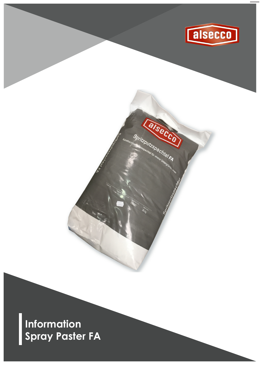

Ealsecco

Spritzputzspachtel FA

**Information Spray Paster FA**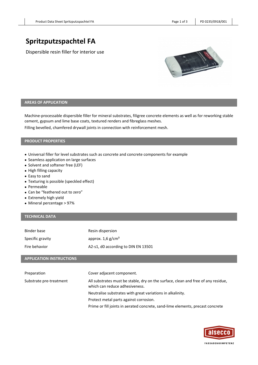# **Spritzputzspachtel FA**

Dispersible resin filler for interior use



## **AREAS OF APPLICATION**

Machine-processable dispersible filler for mineral substrates, filigree concrete elements as well as for reworking stable cement, gypsum and lime base coats, textured renders and fibreglass meshes.

Filling bevelled, chamfered drywall joints in connection with reinforcement mesh.

## **PRODUCT PROPERTIES**

- Universal filler for level substrates such as concrete and concrete components for example
- Seamless application on large surfaces
- Solvent and softener free (LEF)
- High filling capacity
- Easy to sand
- Texturing is possible (speckled effect)
- Permeable
- Can be "feathered out to zero"
- Extremely high yield
- Mineral percentage > 97%

# **TECHNICAL DATA**

| Binder base                     | Resin dispersion                                                                                                    |
|---------------------------------|---------------------------------------------------------------------------------------------------------------------|
| Specific gravity                | approx. $1.6$ g/cm <sup>3</sup>                                                                                     |
| Fire behavior                   | A2-s1, d0 according to DIN EN 13501                                                                                 |
| <b>APPLICATION INSTRUCTIONS</b> |                                                                                                                     |
|                                 |                                                                                                                     |
| Preparation                     | Cover adjacent component.                                                                                           |
| Substrate pre-treatment         | All substrates must be stable, dry on the surface, clean and free of any residue,<br>which can reduce adhesiveness. |
|                                 | Neutralise substrates with great variations in alkalinity.                                                          |
|                                 | Protect metal parts against corrosion.                                                                              |
|                                 | Prime or fill joints in aerated concrete, sand-lime elements, precast concrete                                      |

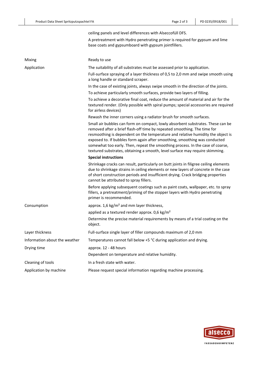|                               | ceiling panels and level differences with Alseccofüll DFS.                                                                                                                                                                                                                                                                                                                                                                                                                                     |
|-------------------------------|------------------------------------------------------------------------------------------------------------------------------------------------------------------------------------------------------------------------------------------------------------------------------------------------------------------------------------------------------------------------------------------------------------------------------------------------------------------------------------------------|
|                               | A pretreatment with Hydro penetrating primer is required for gypsum and lime<br>base coats and gypsumboard with gypsum jointfillers.                                                                                                                                                                                                                                                                                                                                                           |
| Mixing                        | Ready to use                                                                                                                                                                                                                                                                                                                                                                                                                                                                                   |
| Application                   | The suitability of all substrates must be assessed prior to application.                                                                                                                                                                                                                                                                                                                                                                                                                       |
|                               | Full-surface spraying of a layer thickness of 0,5 to 2,0 mm and swipe smooth using<br>a long handle or standard scraper.                                                                                                                                                                                                                                                                                                                                                                       |
|                               | In the case of existing joints, always swipe smooth in the direction of the joints.                                                                                                                                                                                                                                                                                                                                                                                                            |
|                               | To achieve particularly smooth surfaces, provide two layers of filling.                                                                                                                                                                                                                                                                                                                                                                                                                        |
|                               | To achieve a decorative final coat, reduce the amount of material and air for the<br>textured render. (Only possible with spiral pumps; special accessories are required<br>for airless devices)                                                                                                                                                                                                                                                                                               |
|                               | Rewash the inner corners using a radiator brush for smooth surfaces.                                                                                                                                                                                                                                                                                                                                                                                                                           |
|                               | Small air bubbles can form on compact, lowly absorbent substrates. These can be<br>removed after a brief flash-off time by repeated smoothing. The time for<br>resmoothing is dependent on the temperature and relative humidity the object is<br>exposed to. If bubbles form again after smoothing, smoothing was conducted<br>somewhat too early. Then, repeat the smoothing process. In the case of coarse,<br>textured substrates, obtaining a smooth, level surface may require skimming. |
|                               | <b>Special instructions</b>                                                                                                                                                                                                                                                                                                                                                                                                                                                                    |
|                               | Shrinkage cracks can result, particularly on butt joints in filigree ceiling elements<br>due to shrinkage strains in ceiling elements or new layers of concrete in the case<br>of short construction periods and insufficient drying. Crack bridging properties<br>cannot be attributed to spray fillers.                                                                                                                                                                                      |
|                               | Before applying subsequent coatings such as paint coats, wallpaper, etc. to spray<br>fillers, a pretreatment/priming of the stopper layers with Hydro penetrating<br>primer is recommended.                                                                                                                                                                                                                                                                                                    |
| Consumption                   | approx. 1,6 kg/m <sup>2</sup> and mm layer thickness,                                                                                                                                                                                                                                                                                                                                                                                                                                          |
|                               | applied as a textured render approx. 0,6 kg/m <sup>2</sup><br>Determine the precise material requirements by means of a trial coating on the<br>object.                                                                                                                                                                                                                                                                                                                                        |
| Layer thickness               | Full-surface single layer of filler compounds maximum of 2,0 mm                                                                                                                                                                                                                                                                                                                                                                                                                                |
| Information about the weather | Temperatures cannot fall below +5 °C during application and drying.                                                                                                                                                                                                                                                                                                                                                                                                                            |
| Drying time                   | approx. 12 - 48 hours                                                                                                                                                                                                                                                                                                                                                                                                                                                                          |
|                               | Dependent on temperature and relative humidity.                                                                                                                                                                                                                                                                                                                                                                                                                                                |
| Cleaning of tools             | In a fresh state with water.                                                                                                                                                                                                                                                                                                                                                                                                                                                                   |
| Application by machine        | Please request special information regarding machine processing.                                                                                                                                                                                                                                                                                                                                                                                                                               |